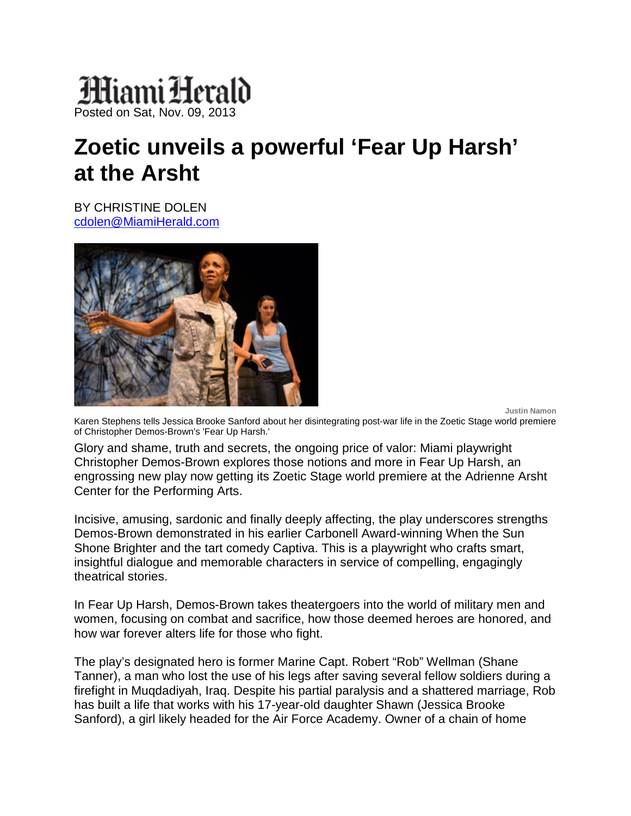## Miami Herald Posted on Sat, Nov. 09, 2013

## **Zoetic unveils a powerful 'Fear Up Harsh' at the Arsht**

BY CHRISTINE DOLEN [cdolen@MiamiHerald.com](mailto:cdolen@MiamiHerald.com)



**Justin Namon** 

Karen Stephens tells Jessica Brooke Sanford about her disintegrating post-war life in the Zoetic Stage world premiere of Christopher Demos-Brown's 'Fear Up Harsh.'

Glory and shame, truth and secrets, the ongoing price of valor: Miami playwright Christopher Demos-Brown explores those notions and more in Fear Up Harsh, an engrossing new play now getting its Zoetic Stage world premiere at the Adrienne Arsht Center for the Performing Arts.

Incisive, amusing, sardonic and finally deeply affecting, the play underscores strengths Demos-Brown demonstrated in his earlier Carbonell Award-winning When the Sun Shone Brighter and the tart comedy Captiva. This is a playwright who crafts smart, insightful dialogue and memorable characters in service of compelling, engagingly theatrical stories.

In Fear Up Harsh, Demos-Brown takes theatergoers into the world of military men and women, focusing on combat and sacrifice, how those deemed heroes are honored, and how war forever alters life for those who fight.

The play's designated hero is former Marine Capt. Robert "Rob" Wellman (Shane Tanner), a man who lost the use of his legs after saving several fellow soldiers during a firefight in Muqdadiyah, Iraq. Despite his partial paralysis and a shattered marriage, Rob has built a life that works with his 17-year-old daughter Shawn (Jessica Brooke Sanford), a girl likely headed for the Air Force Academy. Owner of a chain of home